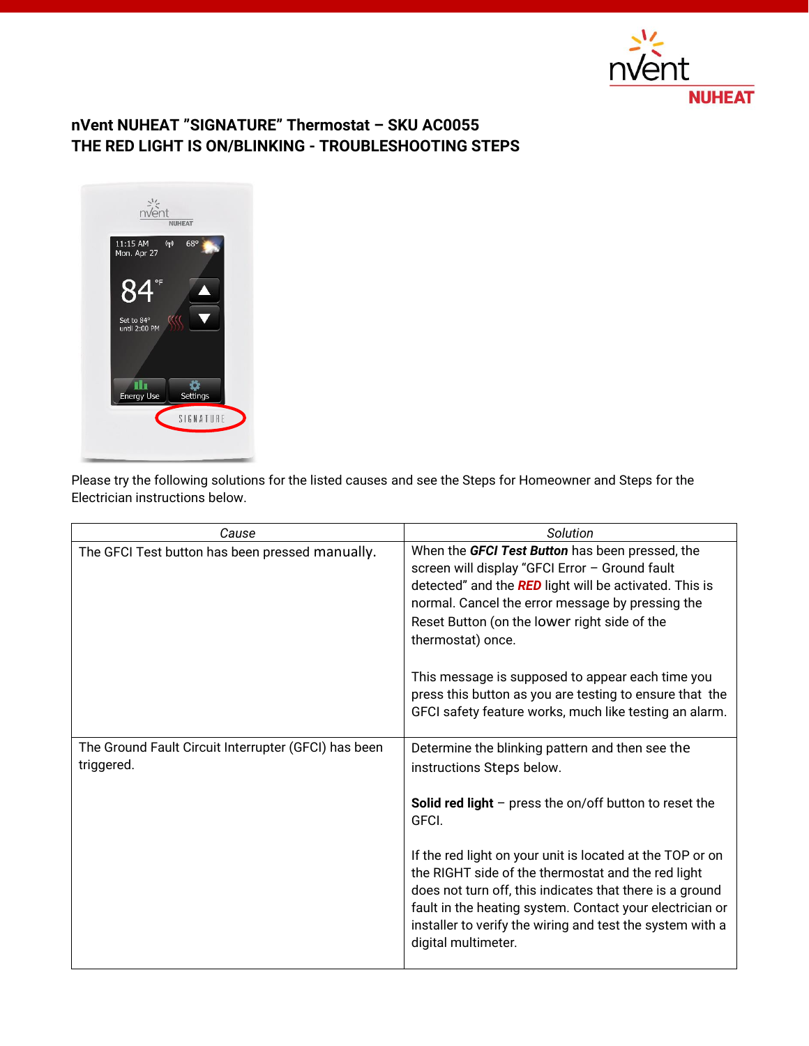

## **nVent NUHEAT "SIGNATURE" Thermostat – SKU AC0055 THE RED LIGHT IS ON/BLINKING - TROUBLESHOOTING STEPS**



Please try the following solutions for the listed causes and see the Steps for Homeowner and Steps for the Electrician instructions below.

| Cause                                                              | Solution                                                                                                                                                                                                                                                                                                                    |
|--------------------------------------------------------------------|-----------------------------------------------------------------------------------------------------------------------------------------------------------------------------------------------------------------------------------------------------------------------------------------------------------------------------|
| The GFCI Test button has been pressed manually.                    | When the GFCI Test Button has been pressed, the<br>screen will display "GFCI Error - Ground fault<br>detected" and the RED light will be activated. This is<br>normal. Cancel the error message by pressing the<br>Reset Button (on the lower right side of the<br>thermostat) once.                                        |
|                                                                    | This message is supposed to appear each time you<br>press this button as you are testing to ensure that the<br>GFCI safety feature works, much like testing an alarm.                                                                                                                                                       |
| The Ground Fault Circuit Interrupter (GFCI) has been<br>triggered. | Determine the blinking pattern and then see the<br>instructions Steps below.                                                                                                                                                                                                                                                |
|                                                                    | <b>Solid red light</b> $-$ press the on/off button to reset the<br>GFCI.                                                                                                                                                                                                                                                    |
|                                                                    | If the red light on your unit is located at the TOP or on<br>the RIGHT side of the thermostat and the red light<br>does not turn off, this indicates that there is a ground<br>fault in the heating system. Contact your electrician or<br>installer to verify the wiring and test the system with a<br>digital multimeter. |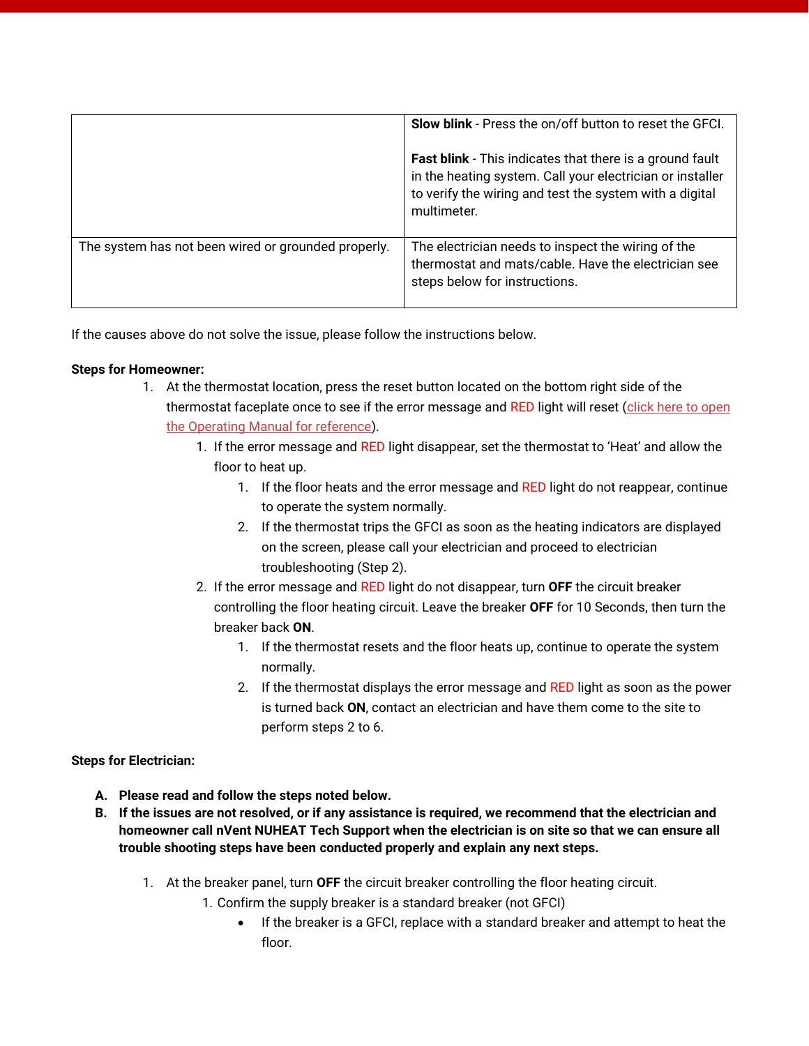|                                                     | Slow blink - Press the on/off button to reset the GFCI.<br><b>Fast blink</b> - This indicates that there is a ground fault<br>in the heating system. Call your electrician or installer<br>to verify the wiring and test the system with a digital<br>multimeter. |
|-----------------------------------------------------|-------------------------------------------------------------------------------------------------------------------------------------------------------------------------------------------------------------------------------------------------------------------|
| The system has not been wired or grounded properly. | The electrician needs to inspect the wiring of the<br>thermostat and mats/cable. Have the electrician see<br>steps below for instructions.                                                                                                                        |

If the causes above do not solve the issue, please follow the instructions below.

## **Steps for Homeowner:**

- 1. At the thermostat location, press the reset button located on the bottom right side of the thermostat faceplate once to see if the error message and RED light will reset (click here to open [the Operating Manual for reference\)](https://www.nuheat.com/docs/default-source/2017-products-files/signature-thermostat/signature_thermostat_operating_manual.pdf?).
	- 1. If the error message and RED light disappear, set the thermostat to 'Heat' and allow the floor to heat up.
		- 1. If the floor heats and the error message and RED light do not reappear, continue to operate the system normally.
		- 2. If the thermostat trips the GFCI as soon as the heating indicators are displayed on the screen, please call your electrician and proceed to electrician troubleshooting (Step 2).
	- 2. If the error message and RED light do not disappear, turn **OFF** the circuit breaker controlling the floor heating circuit. Leave the breaker **OFF** for 10 Seconds, then turn the breaker back **ON**.
		- 1. If the thermostat resets and the floor heats up, continue to operate the system normally.
		- 2. If the thermostat displays the error message and RED light as soon as the power is turned back **ON**, contact an electrician and have them come to the site to perform steps 2 to 6.

**Steps for Electrician:**

- **A. Please read and follow the steps noted below.**
- **B. If the issues are not resolved, or if any assistance is required, we recommend that the electrician and homeowner call nVent NUHEAT Tech Support when the electrician is on site so that we can ensure all trouble shooting steps have been conducted properly and explain any next steps.**
	- 1. At the breaker panel, turn **OFF** the circuit breaker controlling the floor heating circuit.
		- 1. Confirm the supply breaker is a standard breaker (not GFCI)
			- If the breaker is a GFCI, replace with a standard breaker and attempt to heat the floor.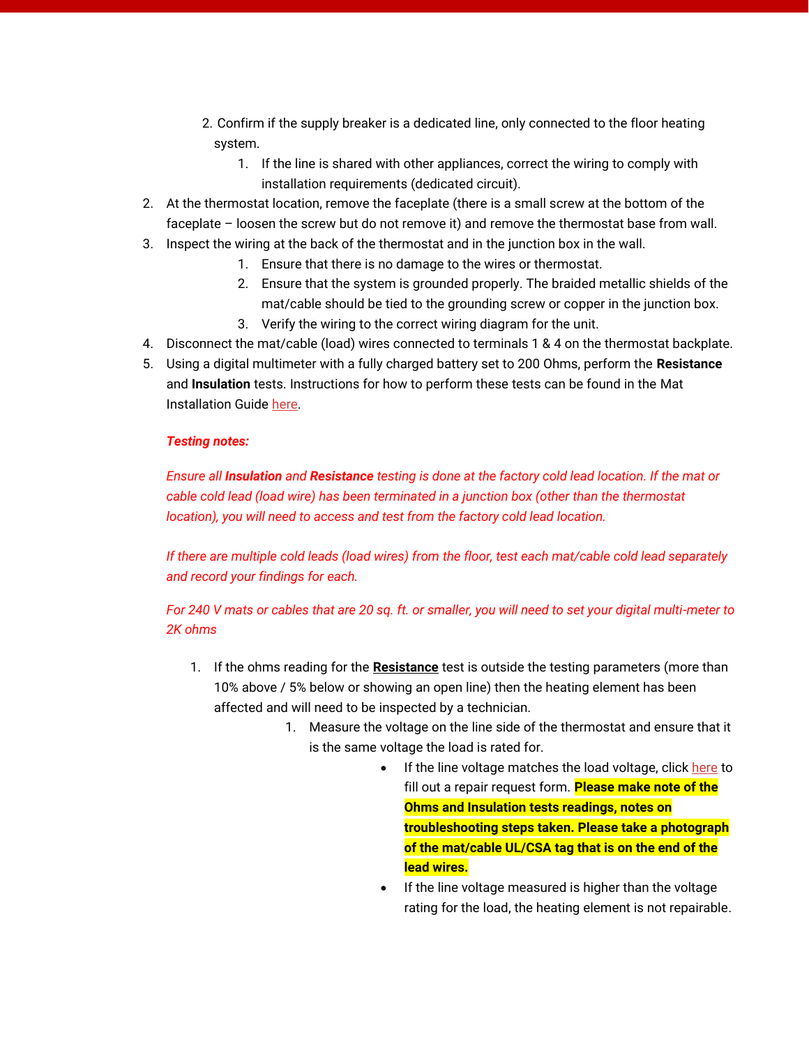- 2. Confirm if the supply breaker is a dedicated line, only connected to the floor heating system.
	- 1. If the line is shared with other appliances, correct the wiring to comply with installation requirements (dedicated circuit).
- 2. At the thermostat location, remove the faceplate (there is a small screw at the bottom of the faceplate – loosen the screw but do not remove it) and remove the thermostat base from wall.
- 3. Inspect the wiring at the back of the thermostat and in the junction box in the wall.
	- 1. Ensure that there is no damage to the wires or thermostat.
	- 2. Ensure that the system is grounded properly. The braided metallic shields of the mat/cable should be tied to the grounding screw or copper in the junction box.
	- 3. Verify the wiring to the correct wiring diagram for the unit.
- 4. Disconnect the mat/cable (load) wires connected to terminals 1 & 4 on the thermostat backplate.
- 5. Using a digital multimeter with a fully charged battery set to 200 Ohms, perform the **Resistance** and **Insulation** tests. Instructions for how to perform these tests can be found in the Mat Installation Guide [here.](http://www.nuheat.com/docs/default-source/2017-products-files/custom-mats/nuheat_mat_installation_guide_h59307.pdf)

## *Testing notes:*

*Ensure all Insulation and Resistance testing is done at the factory cold lead location. If the mat or cable cold lead (load wire) has been terminated in a junction box (other than the thermostat location), you will need to access and test from the factory cold lead location.*

*If there are multiple cold leads (load wires) from the floor, test each mat/cable cold lead separately and record your findings for each.*

*For 240 V mats or cables that are 20 sq. ft. or smaller, you will need to set your digital multi-meter to 2K ohms*

- 1. If the ohms reading for the **Resistance** test is outside the testing parameters (more than 10% above / 5% below or showing an open line) then the heating element has been affected and will need to be inspected by a technician.
	- 1. Measure the voltage on the line side of the thermostat and ensure that it is the same voltage the load is rated for.
		- If the line voltage matches the load voltage, click [here](https://www.nuheat.com/customer-care/repair-request) to fill out a repair request form. **Please make note of the Ohms and Insulation tests readings, notes on troubleshooting steps taken. Please take a photograph of the mat/cable UL/CSA tag that is on the end of the lead wires.**
		- If the line voltage measured is higher than the voltage rating for the load, the heating element is not repairable.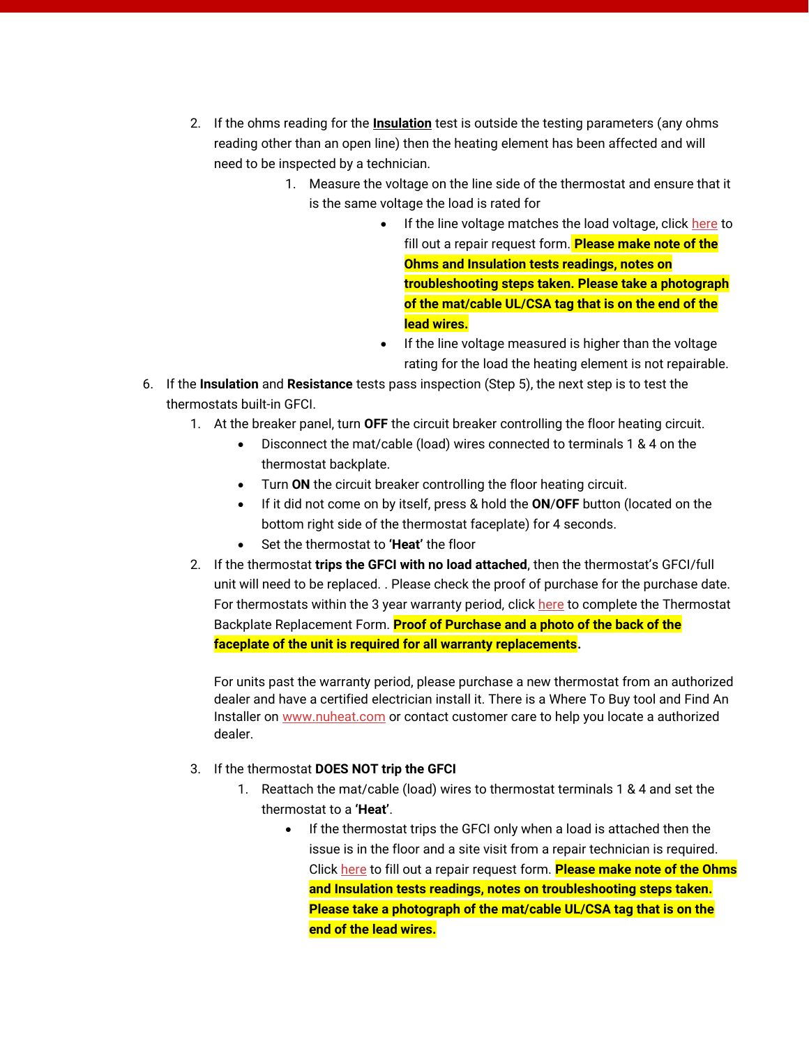- 2. If the ohms reading for the **Insulation** test is outside the testing parameters (any ohms reading other than an open line) then the heating element has been affected and will need to be inspected by a technician.
	- 1. Measure the voltage on the line side of the thermostat and ensure that it is the same voltage the load is rated for
		- If the line voltage matches the load voltage, click [here](https://www.nuheat.com/customer-care/repair-request) to fill out a repair request form. **Please make note of the Ohms and Insulation tests readings, notes on troubleshooting steps taken. Please take a photograph of the mat/cable UL/CSA tag that is on the end of the lead wires.**
		- If the line voltage measured is higher than the voltage rating for the load the heating element is not repairable.
- 6. If the **Insulation** and **Resistance** tests pass inspection (Step 5), the next step is to test the thermostats built-in GFCI.
	- 1. At the breaker panel, turn **OFF** the circuit breaker controlling the floor heating circuit.
		- Disconnect the mat/cable (load) wires connected to terminals 1 & 4 on the thermostat backplate.
		- Turn **ON** the circuit breaker controlling the floor heating circuit.
		- If it did not come on by itself, press & hold the **ON**/**OFF** button (located on the bottom right side of the thermostat faceplate) for 4 seconds.
		- Set the thermostat to **'Heat'** the floor
	- 2. If the thermostat **trips the GFCI with no load attached**, then the thermostat's GFCI/full unit will need to be replaced. . Please check the proof of purchase for the purchase date. For thermostats within the 3 year warranty period, clic[k here](https://go.nvent.com/faceplate-replacement.html) to complete the Thermostat Backplate Replacement Form. **Proof of Purchase and a photo of the back of the faceplate of the unit is required for all warranty replacements.**

For units past the warranty period, please purchase a new thermostat from an authorized dealer and have a certified electrician install it. There is a Where To Buy tool and Find An Installer on [www.nuheat.com](http://www.nuheat.com/) or contact customer care to help you locate a authorized dealer.

## 3. If the thermostat **DOES NOT trip the GFCI**

- 1. Reattach the mat/cable (load) wires to thermostat terminals 1 & 4 and set the thermostat to a **'Heat'**.
	- If the thermostat trips the GFCI only when a load is attached then the issue is in the floor and a site visit from a repair technician is required. Click [here](https://www.nuheat.com/customer-care/repair-request) to fill out a repair request form. **Please make note of the Ohms and Insulation tests readings, notes on troubleshooting steps taken. Please take a photograph of the mat/cable UL/CSA tag that is on the end of the lead wires.**